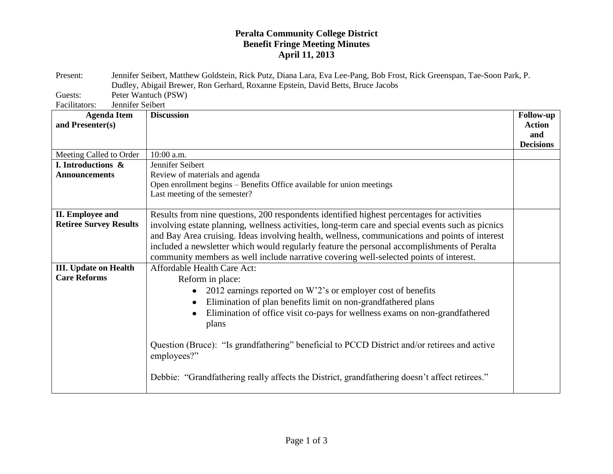## **Peralta Community College District Benefit Fringe Meeting Minutes April 11, 2013**

| Present:                                     | Jennifer Seibert, Matthew Goldstein, Rick Putz, Diana Lara, Eva Lee-Pang, Bob Frost, Rick Greenspan, Tae-Soon Park, P. |                                          |  |
|----------------------------------------------|------------------------------------------------------------------------------------------------------------------------|------------------------------------------|--|
|                                              | Dudley, Abigail Brewer, Ron Gerhard, Roxanne Epstein, David Betts, Bruce Jacobs                                        |                                          |  |
| Guests:<br>Jennifer Seibert<br>Facilitators: | Peter Wantuch (PSW)                                                                                                    |                                          |  |
| <b>Agenda Item</b>                           | <b>Discussion</b>                                                                                                      | Follow-up                                |  |
| and Presenter(s)                             |                                                                                                                        | <b>Action</b><br>and<br><b>Decisions</b> |  |
| Meeting Called to Order                      | 10:00 a.m.                                                                                                             |                                          |  |
| I. Introductions &                           | Jennifer Seibert                                                                                                       |                                          |  |
| <b>Announcements</b>                         | Review of materials and agenda                                                                                         |                                          |  |
|                                              | Open enrollment begins – Benefits Office available for union meetings                                                  |                                          |  |
|                                              | Last meeting of the semester?                                                                                          |                                          |  |
|                                              |                                                                                                                        |                                          |  |
| <b>II.</b> Employee and                      | Results from nine questions, 200 respondents identified highest percentages for activities                             |                                          |  |
| <b>Retiree Survey Results</b>                | involving estate planning, wellness activities, long-term care and special events such as picnics                      |                                          |  |
|                                              | and Bay Area cruising. Ideas involving health, wellness, communications and points of interest                         |                                          |  |
|                                              | included a newsletter which would regularly feature the personal accomplishments of Peralta                            |                                          |  |
|                                              | community members as well include narrative covering well-selected points of interest.                                 |                                          |  |
| <b>III.</b> Update on Health                 | Affordable Health Care Act:                                                                                            |                                          |  |
| <b>Care Reforms</b>                          | Reform in place:                                                                                                       |                                          |  |
|                                              | 2012 earnings reported on W'2's or employer cost of benefits                                                           |                                          |  |
|                                              | Elimination of plan benefits limit on non-grandfathered plans                                                          |                                          |  |
|                                              | Elimination of office visit co-pays for wellness exams on non-grandfathered                                            |                                          |  |
|                                              | plans                                                                                                                  |                                          |  |
|                                              |                                                                                                                        |                                          |  |
|                                              | Question (Bruce): "Is grandfathering" beneficial to PCCD District and/or retirees and active<br>employees?"            |                                          |  |
|                                              | Debbie: "Grandfathering really affects the District, grandfathering doesn't affect retirees."                          |                                          |  |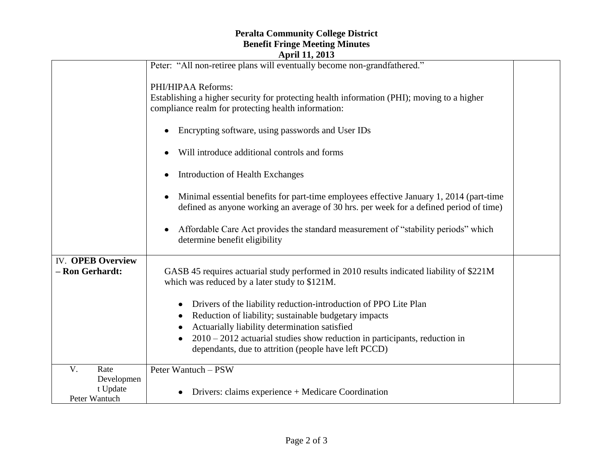## **Peralta Community College District Benefit Fringe Meeting Minutes April 11, 2013**

|                                             | $A$ pin 11, 2010                                                                                                                                                                  |  |
|---------------------------------------------|-----------------------------------------------------------------------------------------------------------------------------------------------------------------------------------|--|
|                                             | Peter: "All non-retiree plans will eventually become non-grandfathered."                                                                                                          |  |
|                                             | PHI/HIPAA Reforms:                                                                                                                                                                |  |
|                                             | Establishing a higher security for protecting health information (PHI); moving to a higher<br>compliance realm for protecting health information:                                 |  |
|                                             | Encrypting software, using passwords and User IDs                                                                                                                                 |  |
|                                             | Will introduce additional controls and forms                                                                                                                                      |  |
|                                             | Introduction of Health Exchanges                                                                                                                                                  |  |
|                                             | Minimal essential benefits for part-time employees effective January 1, 2014 (part-time<br>defined as anyone working an average of 30 hrs. per week for a defined period of time) |  |
|                                             | Affordable Care Act provides the standard measurement of "stability periods" which<br>determine benefit eligibility                                                               |  |
| <b>IV.</b> OPEB Overview<br>- Ron Gerhardt: | GASB 45 requires actuarial study performed in 2010 results indicated liability of \$221M<br>which was reduced by a later study to \$121M.                                         |  |
|                                             | Drivers of the liability reduction-introduction of PPO Lite Plan<br>$\bullet$<br>Reduction of liability; sustainable budgetary impacts<br>٠                                       |  |
|                                             | Actuarially liability determination satisfied<br>$2010 - 2012$ actuarial studies show reduction in participants, reduction in                                                     |  |
|                                             | dependants, due to attrition (people have left PCCD)                                                                                                                              |  |
| V.<br>Rate                                  | Peter Wantuch - PSW                                                                                                                                                               |  |
| Developmen                                  |                                                                                                                                                                                   |  |
| t Update<br>Peter Wantuch                   | Drivers: claims experience + Medicare Coordination                                                                                                                                |  |
|                                             |                                                                                                                                                                                   |  |